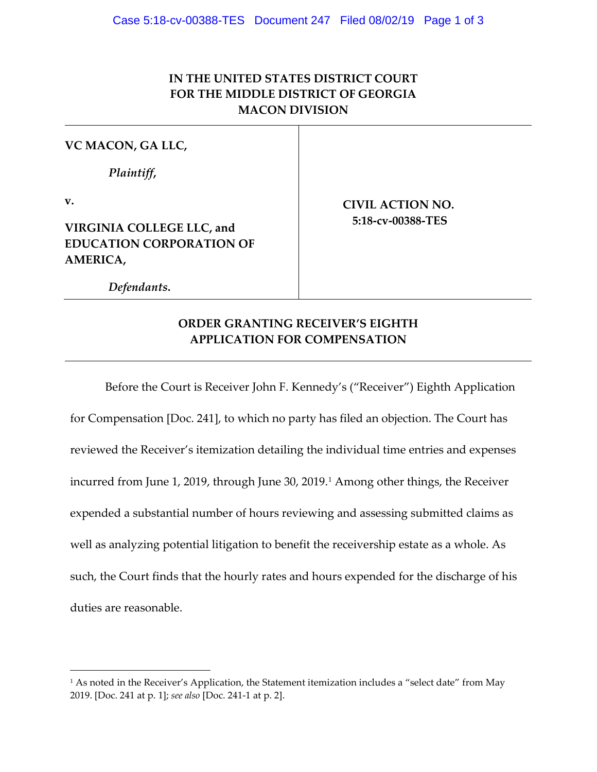## **IN THE UNITED STATES DISTRICT COURT FOR THE MIDDLE DISTRICT OF GEORGIA MACON DIVISION**

## **VC MACON, GA LLC,**

*Plaintiff***,** 

**v.**

 $\overline{a}$ 

**VIRGINIA COLLEGE LLC, and EDUCATION CORPORATION OF AMERICA,**

**CIVIL ACTION NO. 5:18-cv-00388-TES**

 *Defendants***.**

## **ORDER GRANTING RECEIVER'S EIGHTH APPLICATION FOR COMPENSATION**

Before the Court is Receiver John F. Kennedy's ("Receiver") Eighth Application for Compensation [Doc. 241], to which no party has filed an objection. The Court has reviewed the Receiver's itemization detailing the individual time entries and expenses incurred from June [1](#page-0-0), 2019, through June 30, 2019.<sup>1</sup> Among other things, the Receiver expended a substantial number of hours reviewing and assessing submitted claims as well as analyzing potential litigation to benefit the receivership estate as a whole. As such, the Court finds that the hourly rates and hours expended for the discharge of his duties are reasonable.

<span id="page-0-0"></span><sup>&</sup>lt;sup>1</sup> As noted in the Receiver's Application, the Statement itemization includes a "select date" from May 2019. [Doc. 241 at p. 1]; *see also* [Doc. 241-1 at p. 2].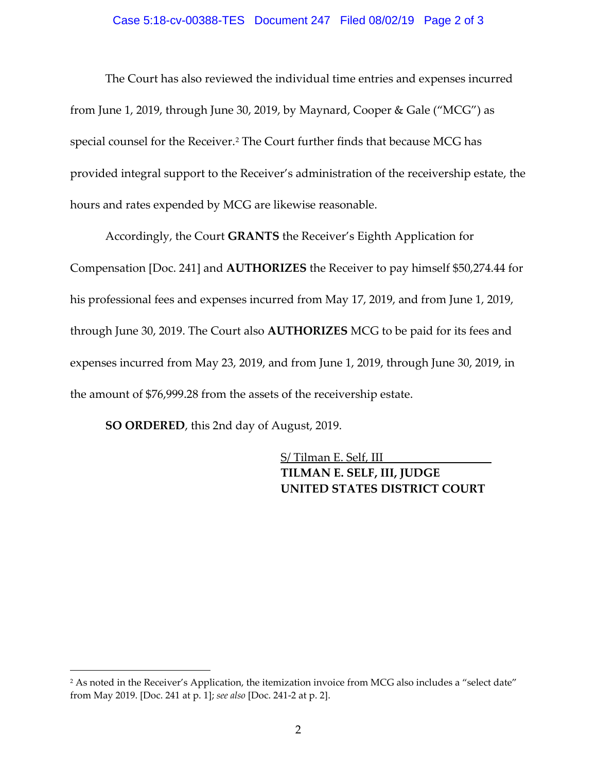## Case 5:18-cv-00388-TES Document 247 Filed 08/02/19 Page 2 of 3

The Court has also reviewed the individual time entries and expenses incurred from June 1, 2019, through June 30, 2019, by Maynard, Cooper & Gale ("MCG") as special counsel for the Receiver.<sup>[2](#page-1-0)</sup> The Court further finds that because MCG has provided integral support to the Receiver's administration of the receivership estate, the hours and rates expended by MCG are likewise reasonable.

Accordingly, the Court **GRANTS** the Receiver's Eighth Application for Compensation [Doc. 241] and **AUTHORIZES** the Receiver to pay himself \$50,274.44 for his professional fees and expenses incurred from May 17, 2019, and from June 1, 2019, through June 30, 2019. The Court also **AUTHORIZES** MCG to be paid for its fees and expenses incurred from May 23, 2019, and from June 1, 2019, through June 30, 2019, in the amount of \$76,999.28 from the assets of the receivership estate.

**SO ORDERED**, this 2nd day of August, 2019.

 $\overline{a}$ 

S/ Tilman E. Self, III **TILMAN E. SELF, III, JUDGE UNITED STATES DISTRICT COURT** 

<span id="page-1-0"></span><sup>&</sup>lt;sup>2</sup> As noted in the Receiver's Application, the itemization invoice from MCG also includes a "select date" from May 2019. [Doc. 241 at p. 1]; *see also* [Doc. 241-2 at p. 2].